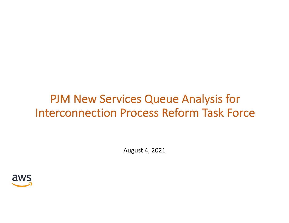# PJM New Services Queue Analysis for Interconnection Process Reform Task Force

August 4, 2021

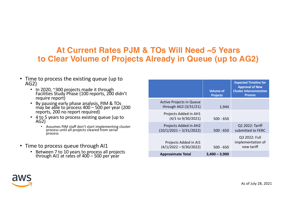## **At Current Rates PJM & TOs Will Need ~5 Years to Clear Volume of Projects Already in Queue (up to AG2)**

- Time to process the existing queue (up to AG2)
	- In 2020, ~300 projects made it through Facilities Study Phase (100 reports, 200 didn't require report)
	- By pausing early phase analysis, PJM & TOs may be able to process 400 – 500 per year (200 reports, 200 no report required)
	- 4 to 5 years to process existing queue (up to AG2)
		- Assumes PJM staff don't start implementing cluster process until all projects cleared from serial process
- Time to process queue through AI1
	- Between 7 to 10 years to process all projects through AI1 at rates of 400 – 500 per year

|                                                          | <b>Volume of</b><br><b>Projects</b> | <b>Expected Timeline for</b><br><b>Approval of New</b><br><b>Cluster Interconnection</b><br><b>Process</b> |
|----------------------------------------------------------|-------------------------------------|------------------------------------------------------------------------------------------------------------|
| <b>Active Projects in Queue</b><br>through AG2 (3/31/21) | 1,944                               |                                                                                                            |
| Projects Added in AH1<br>(4/1 to 9/30/2021)              | $500 - 650$                         |                                                                                                            |
| Projects Added in AH2<br>$(10/1/2021 - 3/31/2022)$       | $500 - 650$                         | Q1 2022: Tariff<br>submitted to FERC                                                                       |
| Projects Added in AI1<br>$(4/1/2022 - 9/30/2022)$        | $500 - 650$                         | Q3 2022: Full<br>implementation of<br>new tariff                                                           |
| <b>Approximate Total</b>                                 | $3,400 - 3,900$                     |                                                                                                            |



As of July 28, 2021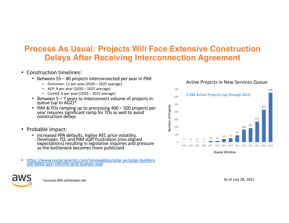# **Process As Usual: Projects Will Face Extensive Construction Delays After Receiving Interconnection Agreement**

- Construction timelines:
	- Between 55 80 projects interconnected per year in PJM
		- Dominion: 11 per year (2020 2025 average)
		- AEP: 9 per year (2020 2025 average)
		- ComEd: 6 per year (2020 2025 average)
	- Between  $5 7$  years to interconnect volume of projects in queue (up to  $AG2$ )\*
	- PJM & TOs ramping up to processing 400 500 projects per year requires significant ramp for TOs as well to avoid construction delays
- Probable Impact:
	- Increased PPA defaults, higher REC price volatility,<br>Developer, TO, and PJM staff frustration (mis-aligned<br>expectations) resulting in legislative inquiries and pressure as the bottleneck becomes more publicized
- [https://www.reutersevents.com/renewables/solar-pv/solar-builde](https://www.reutersevents.com/renewables/solar-pv/solar-builders-call-faster-pjm-reforms-grid-queues-soar)rs- call-faster-pjm-reforms-grid-queues-soar



Queue Window

\*assumes 80% withdrawal rate

As of July 28, 2021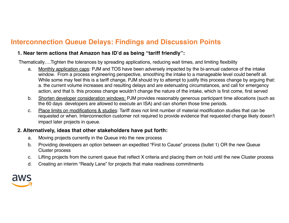## **Interconnection Queue Delays: Findings and Discussion Points**

#### **1. Near term actions that Amazon has ID'd as being "tariff friendly":**

Thematically….Tighten the tolerances by spreading applications, reducing wait times, and limiting flexibility

- a. Monthly application caps: PJM and TOS have been adversely impacted by the bi-annual cadence of the intake window. From a process engineering perspective, smoothing the intake to a manageable level could benefit all. While some may feel this is a tariff change, PJM should try to attempt to justify this process change by arguing that: a. the current volume increases and resulting delays and are extenuating circumstances, and call for emergency action, and that b. this process change wouldn't change the nature of the intake, which is first come, first served
- b. Shorten developer consideration windows: PJM provides reasonably generous participant time allocations (such as the 60 days developers are allowed to execute an ISA) and can shorten those time periods.
- c. Place limits on modifications & studies: Tariff does not limit number of material modification studies that can be requested or when. Interconnection customer not required to provide evidence that requested change likely doesn't impact later projects in queue.

#### **2. Alternatively, ideas that other stakeholders have put forth:**

- a. Moving projects currently in the Queue into the new process
- b. Providing developers an option between an expedited "First to Cause" process (bullet 1) OR the new Queue Cluster process
- c. Lifting projects from the current queue that reflect X criteria and placing them on hold until the new Cluster process
- d. Creating an interim "Ready Lane" for projects that make readiness commitments